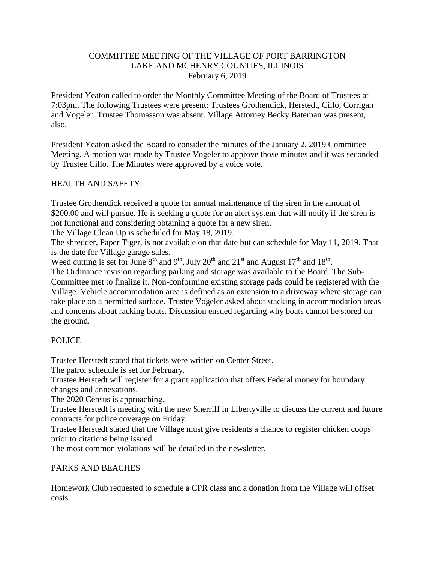#### COMMITTEE MEETING OF THE VILLAGE OF PORT BARRINGTON LAKE AND MCHENRY COUNTIES, ILLINOIS February 6, 2019

President Yeaton called to order the Monthly Committee Meeting of the Board of Trustees at 7:03pm. The following Trustees were present: Trustees Grothendick, Herstedt, Cillo, Corrigan and Vogeler. Trustee Thomasson was absent. Village Attorney Becky Bateman was present, also.

President Yeaton asked the Board to consider the minutes of the January 2, 2019 Committee Meeting. A motion was made by Trustee Vogeler to approve those minutes and it was seconded by Trustee Cillo. The Minutes were approved by a voice vote.

## HEALTH AND SAFETY

Trustee Grothendick received a quote for annual maintenance of the siren in the amount of \$200.00 and will pursue. He is seeking a quote for an alert system that will notify if the siren is not functional and considering obtaining a quote for a new siren.

The Village Clean Up is scheduled for May 18, 2019.

The shredder, Paper Tiger, is not available on that date but can schedule for May 11, 2019. That is the date for Village garage sales.

Weed cutting is set for June  $8^{th}$  and  $9^{th}$ , July  $20^{th}$  and  $21^{st}$  and August  $17^{th}$  and  $18^{th}$ .

The Ordinance revision regarding parking and storage was available to the Board. The Sub-Committee met to finalize it. Non-conforming existing storage pads could be registered with the Village. Vehicle accommodation area is defined as an extension to a driveway where storage can take place on a permitted surface. Trustee Vogeler asked about stacking in accommodation areas and concerns about racking boats. Discussion ensued regarding why boats cannot be stored on the ground.

### POLICE

Trustee Herstedt stated that tickets were written on Center Street.

The patrol schedule is set for February.

Trustee Herstedt will register for a grant application that offers Federal money for boundary changes and annexations.

The 2020 Census is approaching.

Trustee Herstedt is meeting with the new Sherriff in Libertyville to discuss the current and future contracts for police coverage on Friday.

Trustee Herstedt stated that the Village must give residents a chance to register chicken coops prior to citations being issued.

The most common violations will be detailed in the newsletter.

### PARKS AND BEACHES

Homework Club requested to schedule a CPR class and a donation from the Village will offset costs.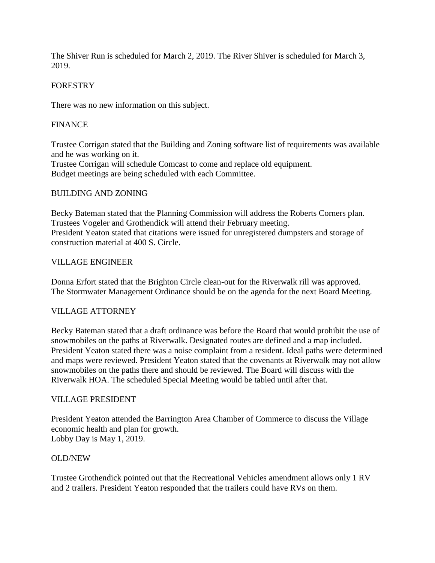The Shiver Run is scheduled for March 2, 2019. The River Shiver is scheduled for March 3, 2019.

### FORESTRY

There was no new information on this subject.

# FINANCE

Trustee Corrigan stated that the Building and Zoning software list of requirements was available and he was working on it.

Trustee Corrigan will schedule Comcast to come and replace old equipment. Budget meetings are being scheduled with each Committee.

### BUILDING AND ZONING

Becky Bateman stated that the Planning Commission will address the Roberts Corners plan. Trustees Vogeler and Grothendick will attend their February meeting. President Yeaton stated that citations were issued for unregistered dumpsters and storage of construction material at 400 S. Circle.

### VILLAGE ENGINEER

Donna Erfort stated that the Brighton Circle clean-out for the Riverwalk rill was approved. The Stormwater Management Ordinance should be on the agenda for the next Board Meeting.

### VILLAGE ATTORNEY

Becky Bateman stated that a draft ordinance was before the Board that would prohibit the use of snowmobiles on the paths at Riverwalk. Designated routes are defined and a map included. President Yeaton stated there was a noise complaint from a resident. Ideal paths were determined and maps were reviewed. President Yeaton stated that the covenants at Riverwalk may not allow snowmobiles on the paths there and should be reviewed. The Board will discuss with the Riverwalk HOA. The scheduled Special Meeting would be tabled until after that.

### VILLAGE PRESIDENT

President Yeaton attended the Barrington Area Chamber of Commerce to discuss the Village economic health and plan for growth. Lobby Day is May 1, 2019.

### OLD/NEW

Trustee Grothendick pointed out that the Recreational Vehicles amendment allows only 1 RV and 2 trailers. President Yeaton responded that the trailers could have RVs on them.